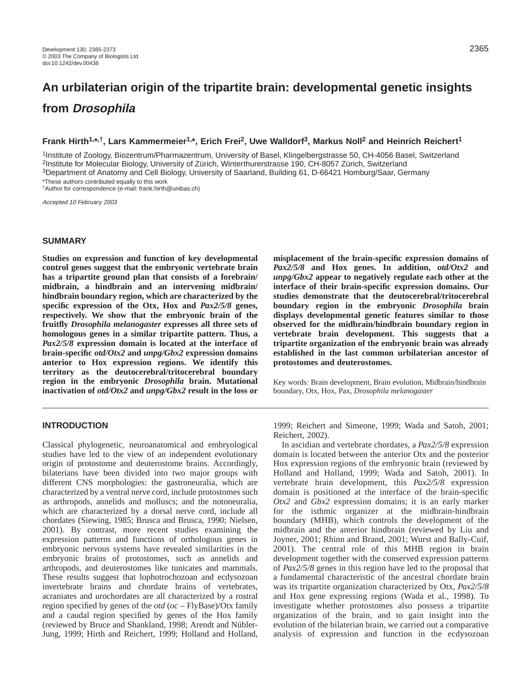# **An urbilaterian origin of the tripartite brain: developmental genetic insights from Drosophila**

## **Frank Hirth1,\*,†, Lars Kammermeier1,\*, Erich Frei2, Uwe Walldorf3, Markus Noll2 and Heinrich Reichert1**

1Institute of Zoology, Biozentrum/Pharmazentrum, University of Basel, Klingelbergstrasse 50, CH-4056 Basel, Switzerland 2Institute for Molecular Biology, University of Zürich, Winterthurerstrasse 190, CH-8057 Zürich, Switzerland 3Department of Anatomy and Cell Biology, University of Saarland, Building 61, D-66421 Homburg/Saar, Germany \*These authors contributed equally to this work

†Author for correspondence (e-mail: frank.hirth@unibas.ch)

Accepted 10 February 2003

# **SUMMARY**

**Studies on expression and function of key developmental control genes suggest that the embryonic vertebrate brain has a tripartite ground plan that consists of a forebrain/ midbrain, a hindbrain and an intervening midbrain/ hindbrain boundary region, which are characterized by the specific expression of the Otx, Hox and** *Pax2/5/8* **genes, respectively. We show that the embryonic brain of the fruitfly** *Drosophila melanogaster* **expresses all three sets of homologous genes in a similar tripartite pattern. Thus, a** *Pax2/5/8* **expression domain is located at the interface of brain-specific** *otd/Otx2* **and** *unpg/Gbx2* **expression domains anterior to Hox expression regions. We identify this territory as the deutocerebral/tritocerebral boundary region in the embryonic** *Drosophila* **brain. Mutational inactivation of** *otd/Otx2* **and** *unpg/Gbx2* **result in the loss or**

# **INTRODUCTION**

Classical phylogenetic, neuroanatomical and embryological studies have led to the view of an independent evolutionary origin of protostome and deuterostome brains. Accordingly, bilaterians have been divided into two major groups with different CNS morphologies: the gastroneuralia, which are characterized by a ventral nerve cord, include protostomes such as arthropods, annelids and molluscs; and the notoneuralia, which are characterized by a dorsal nerve cord, include all chordates (Siewing, 1985; Brusca and Brusca, 1990; Nielsen, 2001). By contrast, more recent studies examining the expression patterns and functions of orthologous genes in embryonic nervous systems have revealed similarities in the embryonic brains of protostomes, such as annelids and arthropods, and deuterostomes like tunicates and mammals. These results suggest that lophotrochozoan and ecdysozoan invertebrate brains and chordate brains of vertebrates, acraniates and urochordates are all characterized by a rostral region specified by genes of the *otd* (*oc* – FlyBase)/Otx family and a caudal region specified by genes of the Hox family (reviewed by Bruce and Shankland, 1998; Arendt and Nübler-Jung, 1999; Hirth and Reichert, 1999; Holland and Holland,

**misplacement of the brain-specific expression domains of** *Pax2/5/8* **and Hox genes. In addition,** *otd/Otx2* **and** *unpg/Gbx2* **appear to negatively regulate each other at the interface of their brain-specific expression domains. Our studies demonstrate that the deutocerebral/tritocerebral boundary region in the embryonic** *Drosophila* **brain displays developmental genetic features similar to those observed for the midbrain/hindbrain boundary region in vertebrate brain development. This suggests that a tripartite organization of the embryonic brain was already established in the last common urbilaterian ancestor of protostomes and deuterostomes.**

Key words: Brain development, Brain evolution, Midbrain/hindbrain boundary, Otx, Hox, Pax, *Drosophila melanogaster*

1999; Reichert and Simeone, 1999; Wada and Satoh, 2001; Reichert, 2002).

In ascidian and vertebrate chordates, a *Pax2/5/8* expression domain is located between the anterior Otx and the posterior Hox expression regions of the embryonic brain (reviewed by Holland and Holland, 1999; Wada and Satoh, 2001). In vertebrate brain development, this *Pax2/5/8* expression domain is positioned at the interface of the brain-specific *Otx2* and *Gbx2* expression domains; it is an early marker for the isthmic organizer at the midbrain-hindbrain boundary (MHB), which controls the development of the midbrain and the anterior hindbrain (reviewed by Liu and Joyner, 2001; Rhinn and Brand, 2001; Wurst and Bally-Cuif, 2001). The central role of this MHB region in brain development together with the conserved expression patterns of *Pax2/5/8* genes in this region have led to the proposal that a fundamental characteristic of the ancestral chordate brain was its tripartite organization characterized by Otx, *Pax2/5/8* and Hox gene expressing regions (Wada et al., 1998). To investigate whether protostomes also possess a tripartite organization of the brain, and to gain insight into the evolution of the bilaterian brain, we carried out a comparative analysis of expression and function in the ecdysozoan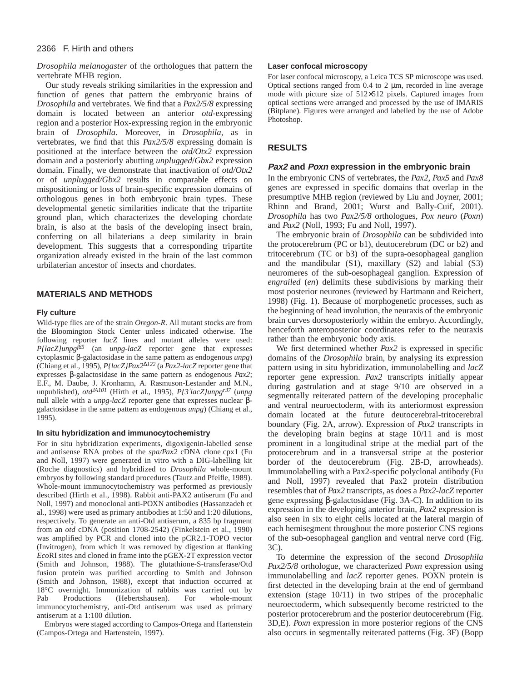*Drosophila melanogaster* of the orthologues that pattern the vertebrate MHB region.

Our study reveals striking similarities in the expression and function of genes that pattern the embryonic brains of *Drosophila* and vertebrates. We find that a *Pax2/5/8* expressing domain is located between an anterior *otd*-expressing region and a posterior Hox-expressing region in the embryonic brain of *Drosophila*. Moreover, in *Drosophila*, as in vertebrates, we find that this *Pax2/5/8* expressing domain is positioned at the interface between the *otd/Otx2* expression domain and a posteriorly abutting *unplugged*/*Gbx2* expression domain. Finally, we demonstrate that inactivation of *otd/Otx2* or of *unplugged/Gbx2* results in comparable effects on mispositioning or loss of brain-specific expression domains of orthologous genes in both embryonic brain types. These developmental genetic similarities indicate that the tripartite ground plan, which characterizes the developing chordate brain, is also at the basis of the developing insect brain, conferring on all bilaterians a deep similarity in brain development. This suggests that a corresponding tripartite organization already existed in the brain of the last common urbilaterian ancestor of insects and chordates.

# **MATERIALS AND METHODS**

#### **Fly culture**

Wild-type flies are of the strain *Oregon-R*. All mutant stocks are from the Bloomington Stock Center unless indicated otherwise. The following reporter *lacZ* lines and mutant alleles were used: *P{lacZ}unpgf85* (an *unpg-lacZ* reporter gene that expresses cytoplasmic β-galactosidase in the same pattern as endogenous *unpg*) (Chiang et al., 1995), *P{lacZ}Pax2*∆*<sup>122</sup>* (a *Pax2-lacZ* reporter gene that expresses β-galactosidase in the same pattern as endogenous *Pax2*; E.F., M. Daube, J. Kronhamn, A. Rasmuson-Lestander and M.N., unpublished), *otdJA101* (Hirth et al., 1995), *P{3*′*lacZ}unpgr37* (*unpg* null allele with a *unpg-lacZ* reporter gene that expresses nuclear βgalactosidase in the same pattern as endogenous *unpg*) (Chiang et al., 1995).

#### **In situ hybridization and immunocytochemistry**

For in situ hybridization experiments, digoxigenin-labelled sense and antisense RNA probes of the *spa/Pax2* cDNA clone cpx1 (Fu and Noll, 1997) were generated in vitro with a DIG-labelling kit (Roche diagnostics) and hybridized to *Drosophila* whole-mount embryos by following standard procedures (Tautz and Pfeifle, 1989). Whole-mount immunocytochemistry was performed as previously described (Hirth et al., 1998). Rabbit anti-PAX2 antiserum (Fu and Noll, 1997) and monoclonal anti-POXN antibodies (Hassanzadeh et al., 1998) were used as primary antibodies at 1:50 and 1:20 dilutions, respectively. To generate an anti-Otd antiserum, a 835 bp fragment from an *otd* cDNA (position 1708-2542) (Finkelstein et al., 1990) was amplified by PCR and cloned into the pCR2.1-TOPO vector (Invitrogen), from which it was removed by digestion at flanking *Eco*RI sites and cloned in frame into the pGEX-2T expression vector (Smith and Johnson, 1988). The glutathione-S-transferase/Otd fusion protein was purified according to Smith and Johnson (Smith and Johnson, 1988), except that induction occurred at 18°C overnight. Immunization of rabbits was carried out by Pab Productions (Hebertshausen). For whole-mount immunocytochemistry, anti-Otd antiserum was used as primary antiserum at a 1:100 dilution.

Embryos were staged according to Campos-Ortega and Hartenstein (Campos-Ortega and Hartenstein, 1997).

#### **Laser confocal microscopy**

For laser confocal microscopy, a Leica TCS SP microscope was used. Optical sections ranged from  $0.4$  to  $2 \mu m$ , recorded in line average mode with picture size of 512×512 pixels. Captured images from optical sections were arranged and processed by the use of IMARIS (Bitplane). Figures were arranged and labelled by the use of Adobe Photoshop.

# **RESULTS**

#### **Pax2 and Poxn expression in the embryonic brain**

In the embryonic CNS of vertebrates, the *Pax2*, *Pax5* and *Pax8* genes are expressed in specific domains that overlap in the presumptive MHB region (reviewed by Liu and Joyner, 2001; Rhinn and Brand, 2001; Wurst and Bally-Cuif, 2001). *Drosophila* has two *Pax2/5/8* orthologues, *Pox neuro* (*Poxn*) and *Pax2* (Noll, 1993; Fu and Noll, 1997).

The embryonic brain of *Drosophila* can be subdivided into the protocerebrum (PC or b1), deutocerebrum (DC or b2) and tritocerebrum (TC or b3) of the supra-oesophageal ganglion and the mandibular (S1), maxillary (S2) and labial (S3) neuromeres of the sub-oesophageal ganglion. Expression of *engrailed* (*en*) delimits these subdivisions by marking their most posterior neurones (reviewed by Hartmann and Reichert, 1998) (Fig. 1). Because of morphogenetic processes, such as the beginning of head involution, the neuraxis of the embryonic brain curves dorsoposteriorly within the embryo. Accordingly, henceforth anteroposterior coordinates refer to the neuraxis rather than the embryonic body axis.

We first determined whether *Pax2* is expressed in specific domains of the *Drosophila* brain, by analysing its expression pattern using in situ hybridization, immunolabelling and *lacZ* reporter gene expression. *Pax2* transcripts initially appear during gastrulation and at stage 9/10 are observed in a segmentally reiterated pattern of the developing procephalic and ventral neuroectoderm, with its anteriormost expression domain located at the future deutocerebral-tritocerebral boundary (Fig. 2A, arrow). Expression of *Pax2* transcripts in the developing brain begins at stage 10/11 and is most prominent in a longitudinal stripe at the medial part of the protocerebrum and in a transversal stripe at the posterior border of the deutocerebrum (Fig. 2B-D, arrowheads). Immunolabelling with a Pax2-specific polyclonal antibody (Fu and Noll, 1997) revealed that Pax2 protein distribution resembles that of *Pax2* transcripts, as does a *Pax2-lacZ* reporter gene expressing β-galactosidase (Fig. 3A-C). In addition to its expression in the developing anterior brain, *Pax2* expression is also seen in six to eight cells located at the lateral margin of each hemisegment throughout the more posterior CNS regions of the sub-oesophageal ganglion and ventral nerve cord (Fig. 3C).

To determine the expression of the second *Drosophila Pax2/5/8* orthologue, we characterized *Poxn* expression using immunolabelling and *lacZ* reporter genes. POXN protein is first detected in the developing brain at the end of germband extension (stage 10/11) in two stripes of the procephalic neuroectoderm, which subsequently become restricted to the posterior protocerebrum and the posterior deutocerebrum (Fig. 3D,E). *Poxn* expression in more posterior regions of the CNS also occurs in segmentally reiterated patterns (Fig. 3F) (Bopp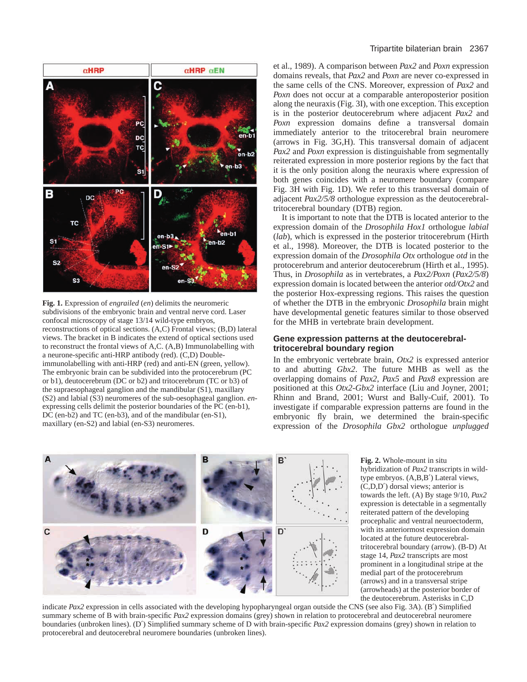

**Fig. 1.** Expression of *engrailed* (*en*) delimits the neuromeric subdivisions of the embryonic brain and ventral nerve cord. Laser confocal microscopy of stage 13/14 wild-type embryos, reconstructions of optical sections. (A,C) Frontal views; (B,D) lateral views. The bracket in B indicates the extend of optical sections used to reconstruct the frontal views of A,C. (A,B) Immunolabelling with a neurone-specific anti-HRP antibody (red). (C,D) Doubleimmunolabelling with anti-HRP (red) and anti-EN (green, yellow). The embryonic brain can be subdivided into the protocerebrum (PC or b1), deutocerebrum (DC or b2) and tritocerebrum (TC or b3) of the supraesophageal ganglion and the mandibular (S1), maxillary (S2) and labial (S3) neuromeres of the sub-oesophageal ganglion. *en*expressing cells delimit the posterior boundaries of the PC (en-b1), DC (en-b2) and TC (en-b3), and of the mandibular (en-S1), maxillary (en-S2) and labial (en-S3) neuromeres.

#### Tripartite bilaterian brain 2367

et al., 1989). A comparison between *Pax2* and *Poxn* expression domains reveals, that *Pax2* and *Poxn* are never co-expressed in the same cells of the CNS. Moreover, expression of *Pax2* and *Poxn* does not occur at a comparable anteroposterior position along the neuraxis (Fig. 3I), with one exception. This exception is in the posterior deutocerebrum where adjacent *Pax2* and Poxn expression domains define a transversal domain immediately anterior to the tritocerebral brain neuromere (arrows in Fig. 3G,H). This transversal domain of adjacent *Pax2* and *Poxn* expression is distinguishable from segmentally reiterated expression in more posterior regions by the fact that it is the only position along the neuraxis where expression of both genes coincides with a neuromere boundary (compare Fig. 3H with Fig. 1D). We refer to this transversal domain of adjacent *Pax2/5/8* orthologue expression as the deutocerebraltritocerebral boundary (DTB) region.

It is important to note that the DTB is located anterior to the expression domain of the *Drosophila Hox1* orthologue *labial* (*lab*), which is expressed in the posterior tritocerebrum (Hirth et al., 1998). Moreover, the DTB is located posterior to the expression domain of the *Drosophila Otx* orthologue *otd* in the protocerebrum and anterior deutocerebrum (Hirth et al., 1995). Thus, in *Drosophila* as in vertebrates, a *Pax2/Poxn* (*Pax2/5/8*) expression domain is located between the anterior *otd/Otx2* and the posterior Hox-expressing regions. This raises the question of whether the DTB in the embryonic *Drosophila* brain might have developmental genetic features similar to those observed for the MHB in vertebrate brain development.

## **Gene expression patterns at the deutocerebraltritocerebral boundary region**

In the embryonic vertebrate brain, *Otx2* is expressed anterior to and abutting *Gbx2*. The future MHB as well as the overlapping domains of *Pax2*, *Pax5* and *Pax8* expression are positioned at this *Otx2*-*Gbx2* interface (Liu and Joyner, 2001; Rhinn and Brand, 2001; Wurst and Bally-Cuif, 2001). To investigate if comparable expression patterns are found in the embryonic fly brain, we determined the brain-specific expression of the *Drosophila Gbx2* orthologue *unplugged*



**Fig. 2.** Whole-mount in situ hybridization of *Pax2* transcripts in wildtype embryos. (A,B,B′) Lateral views, (C,D,D′) dorsal views; anterior is towards the left. (A) By stage 9/10, *Pax2* expression is detectable in a segmentally reiterated pattern of the developing procephalic and ventral neuroectoderm, with its anteriormost expression domain located at the future deutocerebraltritocerebral boundary (arrow). (B-D) At stage 14, *Pax2* transcripts are most prominent in a longitudinal stripe at the medial part of the protocerebrum (arrows) and in a transversal stripe (arrowheads) at the posterior border of the deutocerebrum. Asterisks in C,D

indicate *Pax2* expression in cells associated with the developing hypopharyngeal organ outside the CNS (see also Fig. 3A). (B′) Simplified summary scheme of B with brain-specific *Pax2* expression domains (grey) shown in relation to protocerebral and deutocerebral neuromere boundaries (unbroken lines). (D′) Simplified summary scheme of D with brain-specific *Pax2* expression domains (grey) shown in relation to protocerebral and deutocerebral neuromere boundaries (unbroken lines).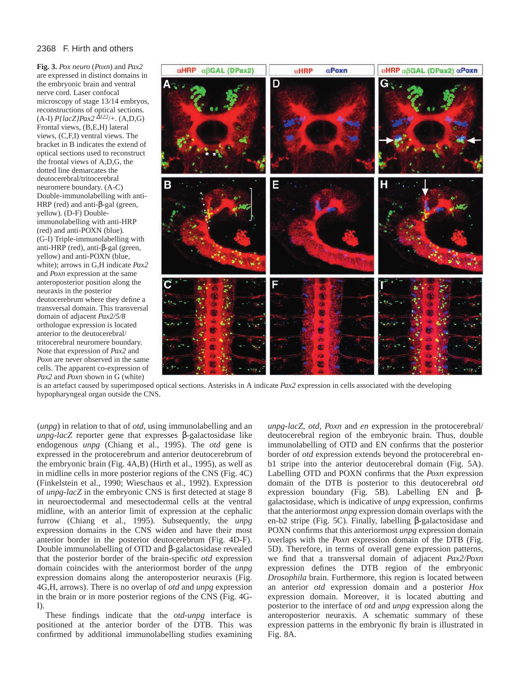**Fig. 3.** *Pox neuro* (*Poxn*) and *Pax2* are expressed in distinct domains in the embryonic brain and ventral nerve cord. Laser confocal microscopy of stage 13/14 embryos, reconstructions of optical sections. (A-I) *P{lacZ}Pax2* <sup>∆</sup>*122*/+. (A,D,G) Frontal views, (B,E,H) lateral views, (C,F,I) ventral views. The bracket in B indicates the extend of optical sections used to reconstruct the frontal views of A,D,G, the dotted line demarcates the deutocerebral/tritocerebral neuromere boundary. (A-C) Double-immunolabelling with anti-HRP (red) and anti-β-gal (green, yellow). (D-F) Doubleimmunolabelling with anti-HRP (red) and anti-POXN (blue). (G-I) Triple-immunolabelling with anti-HRP (red), anti-β-gal (green, yellow) and anti-POXN (blue, white); arrows in G,H indicate *Pax2* and *Poxn* expression at the same anteroposterior position along the neuraxis in the posterior deutocerebrum where they define a transversal domain. This transversal domain of adjacent *Pax2/5/8* orthologue expression is located anterior to the deutocerebral/ tritocerebral neuromere boundary. Note that expression of *Pax2* and *Poxn* are never observed in the same cells. The apparent co-expression of *Pax2* and *Poxn* shown in G (white)



is an artefact caused by superimposed optical sections. Asterisks in A indicate *Pax2* expression in cells associated with the developing hypopharyngeal organ outside the CNS.

(*unpg*) in relation to that of *otd*, using immunolabelling and an *unpg-lacZ* reporter gene that expresses β-galactosidase like endogenous *unpg* (Chiang et al., 1995). The *otd* gene is expressed in the protocerebrum and anterior deutocerebrum of the embryonic brain (Fig. 4A,B) (Hirth et al., 1995), as well as in midline cells in more posterior regions of the CNS (Fig. 4C) (Finkelstein et al., 1990; Wieschaus et al., 1992). Expression of *unpg*-*lacZ* in the embryonic CNS is first detected at stage 8 in neuroectodermal and mesectodermal cells at the ventral midline, with an anterior limit of expression at the cephalic furrow (Chiang et al., 1995). Subsequently, the *unpg* expression domains in the CNS widen and have their most anterior border in the posterior deutocerebrum (Fig. 4D-F). Double immunolabelling of OTD and β-galactosidase revealed that the posterior border of the brain-specific *otd* expression domain coincides with the anteriormost border of the *unpg* expression domains along the anteroposterior neuraxis (Fig. 4G,H, arrows). There is no overlap of *otd* and *unpg* expression in the brain or in more posterior regions of the CNS (Fig. 4G-I).

These findings indicate that the *otd-unpg* interface is positioned at the anterior border of the DTB. This was confirmed by additional immunolabelling studies examining

*unpg-lacZ*, *otd*, *Poxn* and *en* expression in the protocerebral/ deutocerebral region of the embryonic brain. Thus, double immunolabelling of OTD and EN confirms that the posterior border of *otd* expression extends beyond the protocerebral enb1 stripe into the anterior deutocerebral domain (Fig. 5A). Labelling OTD and POXN confirms that the *Poxn* expression domain of the DTB is posterior to this deutocerebral *otd* expression boundary (Fig. 5B). Labelling EN and βgalactosidase, which is indicative of *unpg* expression, confirms that the anteriormost *unpg* expression domain overlaps with the en-b2 stripe (Fig. 5C). Finally, labelling β-galactosidase and POXN confirms that this anteriormost *unpg* expression domain overlaps with the *Poxn* expression domain of the DTB (Fig. 5D). Therefore, in terms of overall gene expression patterns, we find that a transversal domain of adjacent *Pax2/Poxn* expression defines the DTB region of the embryonic *Drosophila* brain. Furthermore, this region is located between an anterior *otd* expression domain and a posterior *Hox* expression domain. Moreover, it is located abutting and posterior to the interface of *otd* and *unpg* expression along the anteroposterior neuraxis. A schematic summary of these expression patterns in the embryonic fly brain is illustrated in Fig. 8A.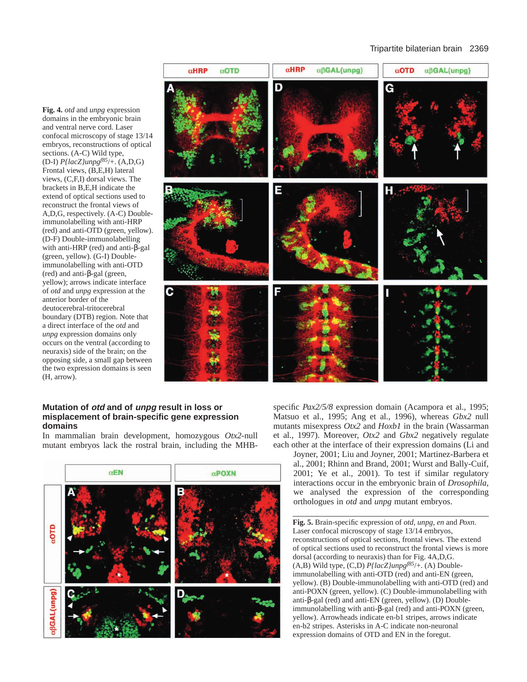**Fig. 4.** *otd* and *unpg* expression domains in the embryonic brain and ventral nerve cord. Laser confocal microscopy of stage 13/14 embryos, reconstructions of optical sections. (A-C) Wild type, (D-I) *P{lacZ}unpgf85*/+. (A,D,G) Frontal views, (B,E,H) lateral views, (C,F,I) dorsal views. The brackets in B,E,H indicate the extend of optical sections used to reconstruct the frontal views of A,D,G, respectively. (A-C) Doubleimmunolabelling with anti-HRP (red) and anti-OTD (green, yellow). (D-F) Double-immunolabelling with anti-HRP (red) and anti-β-gal (green, yellow). (G-I) Doubleimmunolabelling with anti-OTD (red) and anti-β-gal (green, yellow); arrows indicate interface of *otd* and *unpg* expression at the anterior border of the deutocerebral-tritocerebral boundary (DTB) region. Note that a direct interface of the *otd* and *unpg* expression domains only occurs on the ventral (according to neuraxis) side of the brain; on the opposing side, a small gap between the two expression domains is seen (H, arrow).



# **Mutation of otd and of unpg result in loss or misplacement of brain-specific gene expression domains**

In mammalian brain development, homozygous *Otx2*-null mutant embryos lack the rostral brain, including the MHB-



specific *Pax2/5/8* expression domain (Acampora et al., 1995; Matsuo et al., 1995; Ang et al., 1996), whereas *Gbx2* null mutants misexpress *Otx2* and *Hoxb1* in the brain (Wassarman et al., 1997). Moreover, *Otx2* and *Gbx2* negatively regulate each other at the interface of their expression domains (Li and

Joyner, 2001; Liu and Joyner, 2001; Martinez-Barbera et al., 2001; Rhinn and Brand, 2001; Wurst and Bally-Cuif, 2001; Ye et al., 2001). To test if similar regulatory interactions occur in the embryonic brain of *Drosophila*, we analysed the expression of the corresponding orthologues in *otd* and *unpg* mutant embryos.

**Fig. 5.** Brain-specific expression of *otd*, *unpg*, *en* and *Poxn*. Laser confocal microscopy of stage 13/14 embryos, reconstructions of optical sections, frontal views. The extend of optical sections used to reconstruct the frontal views is more dorsal (according to neuraxis) than for Fig. 4A,D,G. (A,B) Wild type, (C,D) *P{lacZ}unpgf85*/+. (A) Doubleimmunolabelling with anti-OTD (red) and anti-EN (green, yellow). (B) Double-immunolabelling with anti-OTD (red) and anti-POXN (green, yellow). (C) Double-immunolabelling with anti-β-gal (red) and anti-EN (green, yellow). (D) Doubleimmunolabelling with anti-β-gal (red) and anti-POXN (green, yellow). Arrowheads indicate en-b1 stripes, arrows indicate en-b2 stripes. Asterisks in A-C indicate non-neuronal expression domains of OTD and EN in the foregut.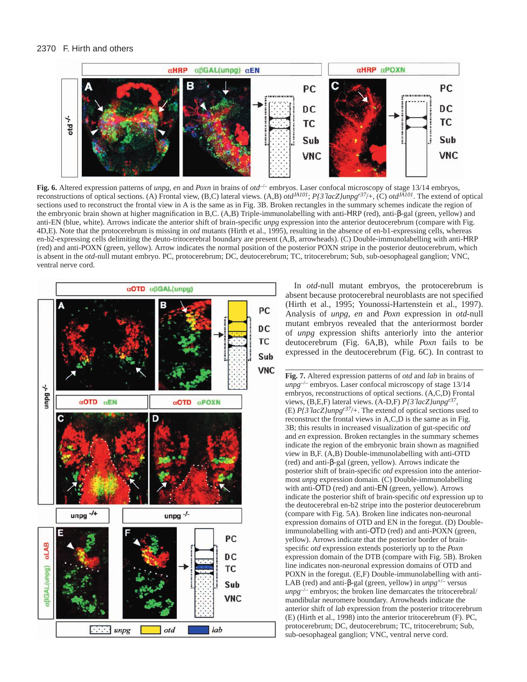

Fig. 6. Altered expression patterns of *unpg, en* and *Poxn* in brains of  $otd^{-}$  embryos. Laser confocal microscopy of stage 13/14 embryos, reconstructions of optical sections. (A) Frontal view, (B,C) lateral views. (A,B)  $ot d^{A101}$ ;  $P{3^7}acZ/unpg^{r37}/+$ , (C)  $ot d^{A101}$ . The extend of optical sections used to reconstruct the frontal view in A is the same as in Fig. 3B. Broken rectangles in the summary schemes indicate the region of the embryonic brain shown at higher magnification in B,C. (A,B) Triple-immunolabelling with anti-ΗRP (red), anti-β-gal (green, yellow) and anti-EN (blue, white). Arrows indicate the anterior shift of brain-specific *unpg* expression into the anterior deutocerebrum (compare with Fig. 4D,E). Note that the protocerebrum is missing in *otd* mutants (Hirth et al., 1995), resulting in the absence of en-b1-expressing cells, whereas en-b2-expressing cells delimiting the deuto-tritocerebral boundary are present (A,B, arrowheads). (C) Double-immunolabelling with anti-ΗRP (red) and anti-POXN (green, yellow). Arrow indicates the normal position of the posterior POXN stripe in the posterior deutocerebrum, which is absent in the *otd*-null mutant embryo. PC, protocerebrum; DC, deutocerebrum; TC, tritocerebrum; Sub, sub-oesophageal ganglion; VNC, ventral nerve cord.



In *otd*-null mutant embryos, the protocerebrum is absent because protocerebral neuroblasts are not specified (Hirth et al., 1995; Younossi-Hartenstein et al., 1997). Analysis of *unpg*, *en* and *Poxn* expression in *otd*-null mutant embryos revealed that the anteriormost border of *unpg* expression shifts anteriorly into the anterior deutocerebrum (Fig. 6A,B), while *Poxn* fails to be expressed in the deutocerebrum (Fig. 6C). In contrast to

**Fig. 7.** Altered expression patterns of *otd* and *lab* in brains of *unpg*–/– embryos. Laser confocal microscopy of stage 13/14 embryos, reconstructions of optical sections. (A,C,D) Frontal views, (B,E,F) lateral views. (A-D,F) *P{3*′*lacZ}unpgr37*, (E) *P{3*′*lacZ}unpgr37*/+. The extend of optical sections used to reconstruct the frontal views in A,C,D is the same as in Fig. 3B; this results in increased visualization of gut-specific *otd* and *en* expression. Broken rectangles in the summary schemes indicate the region of the embryonic brain shown as magnified view in B,F. (A,B) Double-immunolabelling with anti-OTD (red) and anti-β-gal (green, yellow). Arrows indicate the posterior shift of brain-specific *otd* expression into the anteriormost *unpg* expression domain. (C) Double-immunolabelling with anti-OTD (red) and anti-EN (green, yellow). Arrows indicate the posterior shift of brain-specific *otd* expression up to the deutocerebral en-b2 stripe into the posterior deutocerebrum (compare with Fig. 5A). Broken line indicates non-neuronal expression domains of OTD and EN in the foregut. (D) Doubleimmunolabelling with anti-ΟΤD (red) and anti-POXN (green, yellow). Arrows indicate that the posterior border of brainspecific *otd* expression extends posteriorly up to the *Poxn* expression domain of the DTB (compare with Fig. 5B). Broken line indicates non-neuronal expression domains of OTD and POXN in the foregut. (E,F) Double-immunolabelling with anti-LAB (red) and anti-β-gal (green, yellow) in *unpg*+/– versus  $unpg^{-/-}$  embryos; the broken line demarcates the tritocerebral/ mandibular neuromere boundary. Arrowheads indicate the anterior shift of *lab* expression from the posterior tritocerebrum (E) (Hirth et al., 1998) into the anterior tritocerebrum (F). PC, protocerebrum; DC, deutocerebrum; TC, tritocerebrum; Sub, sub-oesophageal ganglion; VNC, ventral nerve cord.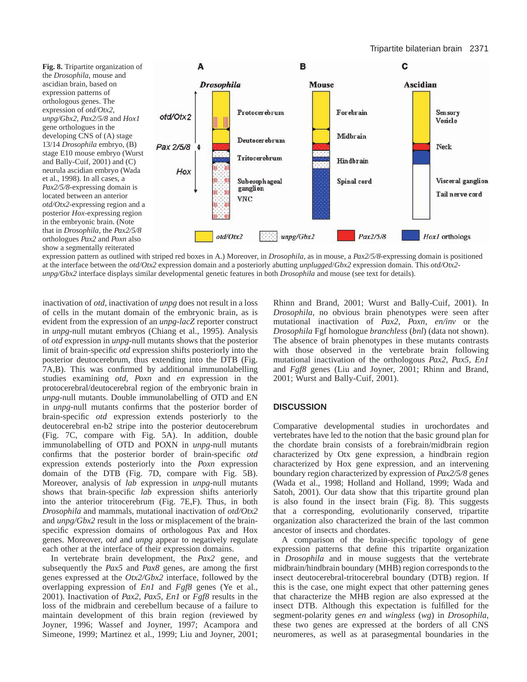

expression pattern as outlined with striped red boxes in A.) Moreover, in *Drosophila*, as in mouse, a *Pax2/5/8*-expressing domain is positioned at the interface between the *otd/Otx2* expression domain and a posteriorly abutting *unplugged*/*Gbx2* expression domain. This *otd/Otx2 unpg/Gbx2* interface displays similar developmental genetic features in both *Drosophila* and mouse (see text for details).

inactivation of *otd*, inactivation of *unpg* does not result in a loss of cells in the mutant domain of the embryonic brain, as is evident from the expression of an *unpg-lacZ* reporter construct in *unpg*-null mutant embryos (Chiang et al., 1995). Analysis of *otd* expression in *unpg*-null mutants shows that the posterior limit of brain-specific *otd* expression shifts posteriorly into the posterior deutocerebrum, thus extending into the DTB (Fig. 7A,B). This was confirmed by additional immunolabelling studies examining *otd*, *Poxn* and *en* expression in the protocerebral/deutocerebral region of the embryonic brain in *unpg*-null mutants. Double immunolabelling of OTD and EN in *unpg*-null mutants confirms that the posterior border of brain-specific *otd* expression extends posteriorly to the deutocerebral en-b2 stripe into the posterior deutocerebrum (Fig. 7C, compare with Fig. 5A). In addition, double immunolabelling of OTD and POXN in *unpg*-null mutants confirms that the posterior border of brain-specific *otd* expression extends posteriorly into the *Poxn* expression domain of the DTB (Fig. 7D, compare with Fig. 5B). Moreover, analysis of *lab* expression in *unpg*-null mutants shows that brain-specific *lab* expression shifts anteriorly into the anterior tritocerebrum (Fig. 7E,F). Thus, in both *Drosophila* and mammals, mutational inactivation of *otd/Otx2* and *unpg/Gbx2* result in the loss or misplacement of the brainspecific expression domains of orthologous Pax and Hox genes. Moreover, *otd* and *unpg* appear to negatively regulate each other at the interface of their expression domains.

In vertebrate brain development, the *Pax2* gene, and subsequently the *Pax5* and *Pax8* genes, are among the first genes expressed at the *Otx2/Gbx2* interface, followed by the overlapping expression of *En1* and *Fgf8* genes (Ye et al., 2001). Inactivation of *Pax2*, *Pax5*, *En1* or *Fgf8* results in the loss of the midbrain and cerebellum because of a failure to maintain development of this brain region (reviewed by Joyner, 1996; Wassef and Joyner, 1997; Acampora and Simeone, 1999; Martinez et al., 1999; Liu and Joyner, 2001;

Rhinn and Brand, 2001; Wurst and Bally-Cuif, 2001). In *Drosophila*, no obvious brain phenotypes were seen after mutational inactivation of *Pax2*, *Poxn*, *en/inv* or the *Drosophila* Fgf homologue *branchless* (*bnl*) (data not shown). The absence of brain phenotypes in these mutants contrasts with those observed in the vertebrate brain following mutational inactivation of the orthologous *Pax2*, *Pax5*, *En1* and *Fgf8* genes (Liu and Joyner, 2001; Rhinn and Brand, 2001; Wurst and Bally-Cuif, 2001).

# **DISCUSSION**

Comparative developmental studies in urochordates and vertebrates have led to the notion that the basic ground plan for the chordate brain consists of a forebrain/midbrain region characterized by Otx gene expression, a hindbrain region characterized by Hox gene expression, and an intervening boundary region characterized by expression of *Pax2/5/8* genes (Wada et al., 1998; Holland and Holland, 1999; Wada and Satoh, 2001). Our data show that this tripartite ground plan is also found in the insect brain (Fig. 8). This suggests that a corresponding, evolutionarily conserved, tripartite organization also characterized the brain of the last common ancestor of insects and chordates.

A comparison of the brain-specific topology of gene expression patterns that define this tripartite organization in *Drosophila* and in mouse suggests that the vertebrate midbrain/hindbrain boundary (MHB) region corresponds to the insect deutocerebral-tritocerebral boundary (DTB) region. If this is the case, one might expect that other patterning genes that characterize the MHB region are also expressed at the insect DTB. Although this expectation is fulfilled for the segment-polarity genes *en* and *wingless* (*wg*) in *Drosophila*, these two genes are expressed at the borders of all CNS neuromeres, as well as at parasegmental boundaries in the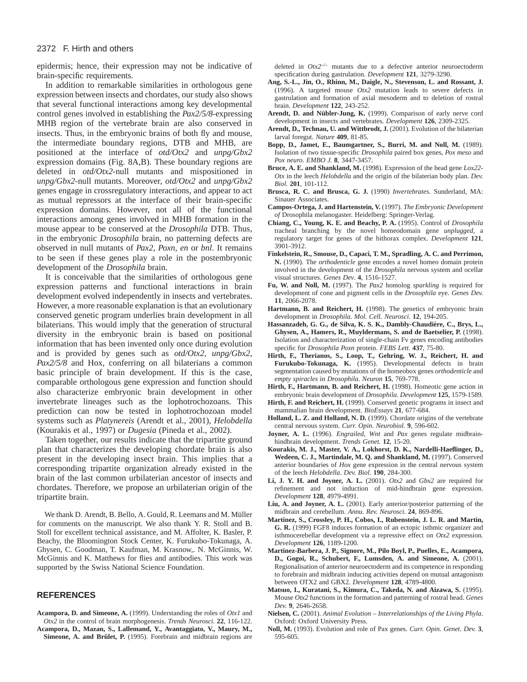epidermis; hence, their expression may not be indicative of brain-specific requirements.

In addition to remarkable similarities in orthologous gene expression between insects and chordates, our study also shows that several functional interactions among key developmental control genes involved in establishing the *Pax2/5/8*-expressing MHB region of the vertebrate brain are also conserved in insects. Thus, in the embryonic brains of both fly and mouse, the intermediate boundary regions, DTB and MHB, are positioned at the interface of *otd/Otx2* and *unpg/Gbx2* expression domains (Fig. 8A,B). These boundary regions are deleted in *otd/Otx2*-null mutants and mispositioned in *unpg/Gbx2*-null mutants. Moreover, *otd/Otx2* and *unpg/Gbx2* genes engage in crossregulatory interactions, and appear to act as mutual repressors at the interface of their brain-specific expression domains. However, not all of the functional interactions among genes involved in MHB formation in the mouse appear to be conserved at the *Drosophila* DTB. Thus, in the embryonic *Drosophila* brain, no patterning defects are observed in null mutants of *Pax2*, *Poxn*, *en* or *bnl*. It remains to be seen if these genes play a role in the postembryonic development of the *Drosophila* brain.

It is conceivable that the similarities of orthologous gene expression patterns and functional interactions in brain development evolved independently in insects and vertebrates. However, a more reasonable explanation is that an evolutionary conserved genetic program underlies brain development in all bilaterians. This would imply that the generation of structural diversity in the embryonic brain is based on positional information that has been invented only once during evolution and is provided by genes such as *otd/Otx2*, *unpg/Gbx2*, *Pax2/5/8* and Hox, conferring on all bilaterians a common basic principle of brain development. If this is the case, comparable orthologous gene expression and function should also characterize embryonic brain development in other invertebrate lineages such as the lophotrochozoans. This prediction can now be tested in lophotrochozoan model systems such as *Platynereis* (Arendt et al., 2001), *Helobdella* (Kourakis et al., 1997) or *Dugesia* (Pineda et al., 2002).

Taken together, our results indicate that the tripartite ground plan that characterizes the developing chordate brain is also present in the developing insect brain. This implies that a corresponding tripartite organization already existed in the brain of the last common urbilaterian ancestor of insects and chordates. Therefore, we propose an urbilaterian origin of the tripartite brain.

We thank D. Arendt, B. Bello, A. Gould, R. Leemans and M. Müller for comments on the manuscript. We also thank Y. R. Stoll and B. Stoll for excellent technical assistance, and M. Affolter, K. Basler, P. Beachy, the Bloomington Stock Center, K. Furukubo-Tokunaga, A. Ghysen, C. Goodman, T. Kaufman, M. Krasnow,. N. McGinnis, W. McGinnis and K. Matthews for flies and antibodies. This work was supported by the Swiss National Science Foundation.

## **REFERENCES**

**Acampora, D. and Simeone, A.** (1999). Understanding the roles of *Otx1* and *Otx2* in the control of brain morphogenesis. *Trends Neurosci.* **22**, 116-122. **Acampora, D., Mazan, S., Lallemand, Y., Avantaggiato, V., Maury, M., Simeone, A. and Brûlet, P.** (1995). Forebrain and midbrain regions are

- deleted in *Otx2*–/– mutants due to a defective anterior neuroectoderm specification during gastrulation. *Development* **121**, 3279-3290.
- **Ang, S.-L., Jin, O., Rhinn, M., Daigle, N., Stevenson, L. and Rossant, J.** (1996). A targeted mouse *Otx2* mutation leads to severe defects in gastrulation and formation of axial mesoderm and to deletion of rostral brain. *Development* **122**, 243-252.
- **Arendt, D. and Nübler-Jung, K.** (1999). Comparison of early nerve cord development in insects and vertebrates. *Development* **126**, 2309-2325.
- Arendt, D., Technau, U. and Wittbrodt, J. (2001). Evolution of the bilaterian larval foregut. *Nature* **409**, 81-85.
- **Bopp, D., Jamet, E., Baumgartner, S., Burri, M. and Noll, M.** (1989). Isolation of two tissue-specific *Drosophila* paired box genes, *Pox meso* and *Pox neuro*. *EMBO J.* **8**, 3447-3457.
- **Bruce, A. E. and Shankland, M.** (1998). Expression of the head gene *Lox22- Otx* in the leech *Helobdella* and the origin of the bilaterian body plan. *Dev. Biol.* **201**, 101-112.
- **Brusca, R. C. and Brusca, G. J.** (1990) *Invertebrates*. Sunderland, MA: Sinauer Associates.
- **Campos-Ortega, J. and Hartenstein, V.** (1997). *The Embryonic Development of* Drosophila melanogaster. Heidelberg: Springer-Verlag.
- **Chiang, C., Young, K. E. and Beachy, P. A.** (1995). Control of *Drosophila* tracheal branching by the novel homeodomain gene *unplugged*, a regulatory target for genes of the bithorax complex. *Development* **121**, 3901-3912.
- **Finkelstein, R., Smouse, D., Capaci, T. M., Spradling, A. C. and Perrimon, N.** (1990). The *orthodenticle* gene encodes a novel homeo domain protein involved in the development of the *Drosophila* nervous system and ocellar visual structures. *Genes Dev*. **4**, 1516-1527.
- **Fu, W. and Noll, M.** (1997). The *Pax2* homolog *sparkling* is required for development of cone and pigment cells in the *Drosophila* eye. *Genes Dev.* **11**, 2066-2078.
- **Hartmann, B. and Reichert, H.** (1998). The genetics of embryonic brain development in *Drosophila*. *Mol. Cell. Neurosci.* **12**, 194-205.
- **Hassanzadeh, G. G., de Silva, K. S. K., Dambly-Chaudière, C., Brys, L., Ghysen, A., Hamers, R., Muyldermans, S. and de Baetselier, P.** (1998). Isolation and characterization of single-chain Fv genes encoding antibodies specific for *Drosophila Poxn* protein. *FEBS Lett.* **437**, 75-80.
- **Hirth, F., Therianos, S., Loop, T., Gehring, W. J., Reichert, H. and Furukubo-Tokunaga, K.** (1995). Developmental defects in brain segmentation caused by mutations of the homeobox genes *orthodenticle* and *empty spiracles* in *Drosophila*. *Neuron* **15**, 769-778.
- **Hirth, F., Hartmann, B. and Reichert, H.** (1998). Homeotic gene action in embryonic brain development of *Drosophila*. *Development* **125**, 1579-1589.
- **Hirth, F. and Reichert, H.** (1999). Conserved genetic programs in insect and mammalian brain development. *BioEssays* **21**, 677-684.
- **Holland, L. Z. and Holland, N. D.** (1999). Chordate origins of the vertebrate central nervous system. *Curr. Opin. Neurobiol.* **9**, 596-602.
- **Joyner, A. L.** (1996). *Engrailed*, *Wnt* and *Pax* genes regulate midbrainhindbrain development. *Trends Genet.* **12**, 15-20.
- **Kourakis, M. J., Master, V. A., Lokhorst, D. K., Nardelli-Haeflinger, D.,** Wedeen, C. J., Martindale, M. O. and Shankland, M. (1997). Conserved anterior boundaries of *Hox* gene expression in the central nervous system of the leech *Helobdella*. *Dev. Biol.* **190**, 284-300.
- **Li, J. Y. H. and Joyner, A. L.** (2001). *Otx2* and *Gbx2* are required for refinement and not induction of mid-hindbrain gene expression. *Development* **128**, 4979-4991.
- **Liu, A. and Joyner, A. L.** (2001). Early anterior/posterior patterning of the midbrain and cerebellum. *Annu. Rev. Neurosci.* **24**, 869-896.
- **Martinez, S., Crossley, P. H., Cobos, I., Rubenstein, J. L. R. and Martin, G. R.** (1999) FGF8 induces formation of an ectopic isthmic organizer and isthmocerebellar development via a repressive effect on *Otx2* expression. *Development* **126**, 1189-1200.
- **Martinez-Barbera, J. P., Signore, M., Pilo Boyl, P., Puelles, E., Acampora, D., Gogoi, R., Schubert, F., Lumsden, A. and Simeone, A.** (2001). Regionalisation of anterior neuroectoderm and its competence in responding to forebrain and midbrain inducing activities depend on mutual antagonism between OTX2 and GBX2. *Development* **128**, 4789-4800.
- **Matsuo, I., Kuratani, S., Kimura, C., Takeda, N. and Aizawa, S.** (1995). Mouse *Otx2* functions in the formation and patterning of rostral head. *Genes Dev.* **9**, 2646-2658.
- **Nielsen, C.** (2001). *Animal Evolution Interrelationships of the Living Phyla*. Oxford: Oxford University Press.
- **Noll, M.** (1993). Evolution and role of Pax genes. *Curr. Opin. Genet. Dev.* **3**, 595-605.